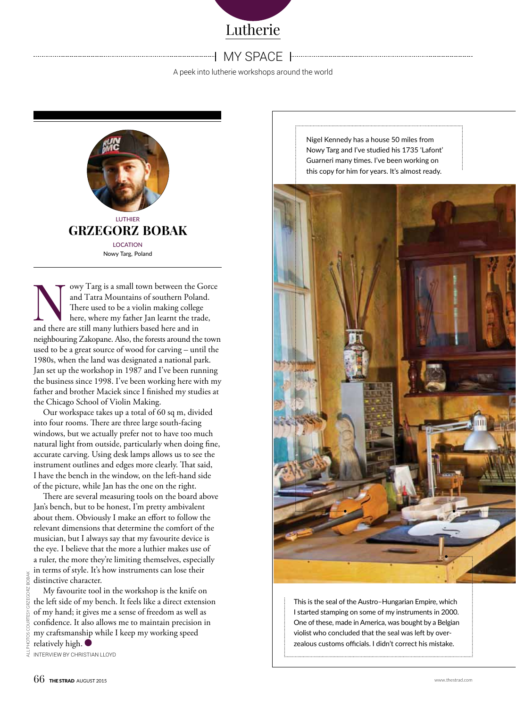

## my space

A peek into lutherie workshops around the world



owy Targ is a small town between the Gorce and Tatra Mountains of southern Poland. There used to be a violin making college here, where my father Jan learnt the trade, and there are still many luthiers based here and in neighbouring Zakopane. Also, the forests around the town used to be a great source of wood for carving – until the 1980s, when the land was designated a national park. Jan set up the workshop in 1987 and I've been running the business since 1998. I've been working here with my father and brother Maciek since I finished my studies at the Chicago School of Violin Making.

Our workspace takes up a total of 60 sq m, divided into four rooms. There are three large south-facing windows, but we actually prefer not to have too much natural light from outside, particularly when doing fine, accurate carving. Using desk lamps allows us to see the instrument outlines and edges more clearly. That said, I have the bench in the window, on the left-hand side of the picture, while Jan has the one on the right.

There are several measuring tools on the board above Jan's bench, but to be honest, I'm pretty ambivalent about them. Obviously I make an effort to follow the relevant dimensions that determine the comfort of the musician, but I always say that my favourite device is the eye. I believe that the more a luthier makes use of a ruler, the more they're limiting themselves, especially in terms of style. It's how instruments can lose their distinctive character.

My favourite tool in the workshop is the knife on the left side of my bench. It feels like a direct extension of my hand; it gives me a sense of freedom as well as confidence. It also allows me to maintain precision in my craftsmanship while I keep my working speed relatively high.

Interview by Christian Lloyd

Nigel Kennedy has a house 50 miles from Nowy Targ and I've studied his 1735 'Lafont' Guarneri many times. I've been working on this copy for him for years. It's almost ready.



This is the seal of the Austro–Hungarian Empire, which I started stamping on some of my instruments in 2000. One of these, made in America, was bought by a Belgian violist who concluded that the seal was left by overzealous customs officials. I didn't correct his mistake.